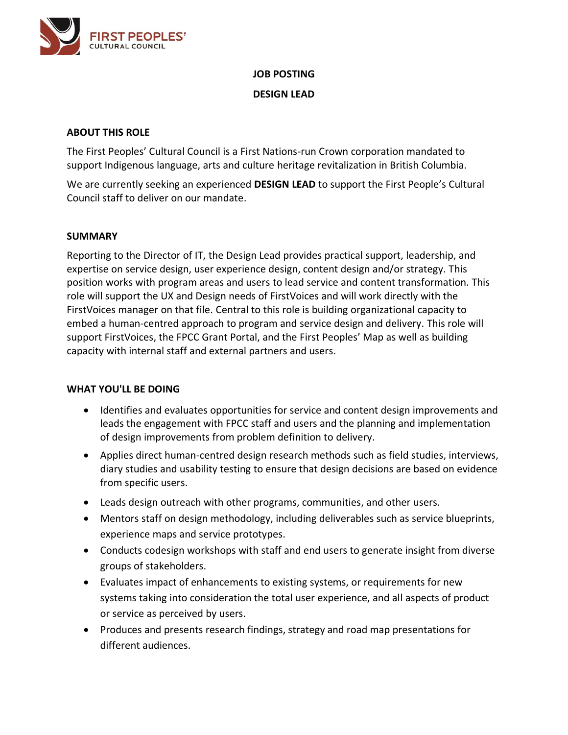

# **JOB POSTING DESIGN LEAD**

## **ABOUT THIS ROLE**

The First Peoples' Cultural Council is a First Nations-run Crown corporation mandated to support Indigenous language, arts and culture heritage revitalization in British Columbia.

We are currently seeking an experienced **DESIGN LEAD** to support the First People's Cultural Council staff to deliver on our mandate.

#### **SUMMARY**

Reporting to the Director of IT, the Design Lead provides practical support, leadership, and expertise on service design, user experience design, content design and/or strategy. This position works with program areas and users to lead service and content transformation. This role will support the UX and Design needs of FirstVoices and will work directly with the FirstVoices manager on that file. Central to this role is building organizational capacity to embed a human-centred approach to program and service design and delivery. This role will support FirstVoices, the FPCC Grant Portal, and the First Peoples' Map as well as building capacity with internal staff and external partners and users.

#### **WHAT YOU'LL BE DOING**

- Identifies and evaluates opportunities for service and content design improvements and leads the engagement with FPCC staff and users and the planning and implementation of design improvements from problem definition to delivery.
- Applies direct human-centred design research methods such as field studies, interviews, diary studies and usability testing to ensure that design decisions are based on evidence from specific users.
- Leads design outreach with other programs, communities, and other users.
- Mentors staff on design methodology, including deliverables such as service blueprints, experience maps and service prototypes.
- Conducts codesign workshops with staff and end users to generate insight from diverse groups of stakeholders.
- Evaluates impact of enhancements to existing systems, or requirements for new systems taking into consideration the total user experience, and all aspects of product or service as perceived by users.
- Produces and presents research findings, strategy and road map presentations for different audiences.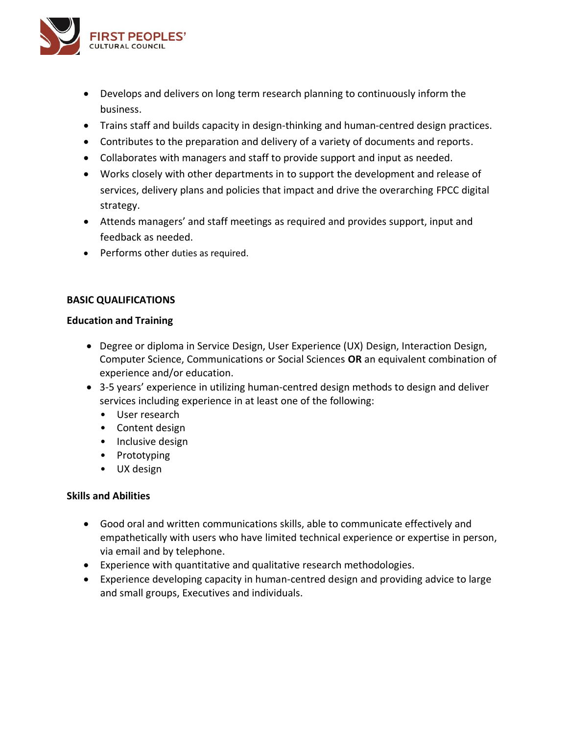

- Develops and delivers on long term research planning to continuously inform the business.
- Trains staff and builds capacity in design-thinking and human-centred design practices.
- Contributes to the preparation and delivery of a variety of documents and reports.
- Collaborates with managers and staff to provide support and input as needed.
- Works closely with other departments in to support the development and release of services, delivery plans and policies that impact and drive the overarching FPCC digital strategy.
- Attends managers' and staff meetings as required and provides support, input and feedback as needed.
- Performs other duties as required.

#### **BASIC QUALIFICATIONS**

#### **Education and Training**

- Degree or diploma in Service Design, User Experience (UX) Design, Interaction Design, Computer Science, Communications or Social Sciences **OR** an equivalent combination of experience and/or education.
- 3-5 years' experience in utilizing human-centred design methods to design and deliver services including experience in at least one of the following:
	- User research
	- Content design
	- Inclusive design
	- Prototyping
	- UX design

#### **Skills and Abilities**

- Good oral and written communications skills, able to communicate effectively and empathetically with users who have limited technical experience or expertise in person, via email and by telephone.
- Experience with quantitative and qualitative research methodologies.
- Experience developing capacity in human-centred design and providing advice to large and small groups, Executives and individuals.